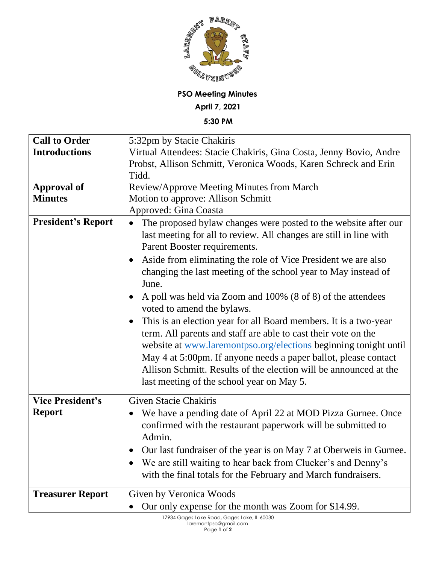

## **PSO Meeting Minutes**

**April 7, 2021**

**5:30 PM**

| <b>Call to Order</b>      | 5:32pm by Stacie Chakiris                                                                                                                                                                                                                                                                                                                                                                                                                                                                                                                                         |
|---------------------------|-------------------------------------------------------------------------------------------------------------------------------------------------------------------------------------------------------------------------------------------------------------------------------------------------------------------------------------------------------------------------------------------------------------------------------------------------------------------------------------------------------------------------------------------------------------------|
| <b>Introductions</b>      | Virtual Attendees: Stacie Chakiris, Gina Costa, Jenny Bovio, Andre                                                                                                                                                                                                                                                                                                                                                                                                                                                                                                |
|                           | Probst, Allison Schmitt, Veronica Woods, Karen Schreck and Erin                                                                                                                                                                                                                                                                                                                                                                                                                                                                                                   |
|                           | Tidd.                                                                                                                                                                                                                                                                                                                                                                                                                                                                                                                                                             |
| <b>Approval of</b>        | Review/Approve Meeting Minutes from March                                                                                                                                                                                                                                                                                                                                                                                                                                                                                                                         |
| <b>Minutes</b>            | Motion to approve: Allison Schmitt                                                                                                                                                                                                                                                                                                                                                                                                                                                                                                                                |
|                           | Approved: Gina Coasta                                                                                                                                                                                                                                                                                                                                                                                                                                                                                                                                             |
| <b>President's Report</b> | The proposed bylaw changes were posted to the website after our<br>$\bullet$<br>last meeting for all to review. All changes are still in line with<br>Parent Booster requirements.<br>Aside from eliminating the role of Vice President we are also<br>changing the last meeting of the school year to May instead of<br>June.<br>A poll was held via Zoom and 100% (8 of 8) of the attendees<br>voted to amend the bylaws.<br>This is an election year for all Board members. It is a two-year<br>term. All parents and staff are able to cast their vote on the |
|                           | website at www.laremontpso.org/elections beginning tonight until<br>May 4 at 5:00pm. If anyone needs a paper ballot, please contact<br>Allison Schmitt. Results of the election will be announced at the<br>last meeting of the school year on May 5.                                                                                                                                                                                                                                                                                                             |
| <b>Vice President's</b>   | <b>Given Stacie Chakiris</b>                                                                                                                                                                                                                                                                                                                                                                                                                                                                                                                                      |
| <b>Report</b>             | We have a pending date of April 22 at MOD Pizza Gurnee. Once<br>confirmed with the restaurant paperwork will be submitted to<br>Admin.<br>Our last fundraiser of the year is on May 7 at Oberweis in Gurnee.<br>$\bullet$                                                                                                                                                                                                                                                                                                                                         |
|                           | We are still waiting to hear back from Clucker's and Denny's<br>with the final totals for the February and March fundraisers.                                                                                                                                                                                                                                                                                                                                                                                                                                     |
| <b>Treasurer Report</b>   | Given by Veronica Woods<br>Our only expense for the month was Zoom for \$14.99.                                                                                                                                                                                                                                                                                                                                                                                                                                                                                   |